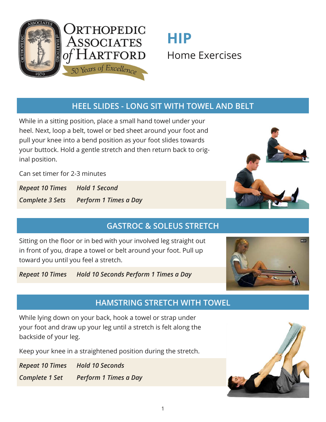

# **HIP**  Home Exercises

#### **HEEL SLIDES - LONG SIT WITH TOWEL AND BELT**

While in a sitting position, place a small hand towel under your heel. Next, loop a belt, towel or bed sheet around your foot and pull your knee into a bend position as your foot slides towards your buttock. Hold a gentle stretch and then return back to original position.

Can set timer for 2-3 minutes

*Repeat 10 Times Hold 1 Second Complete 3 Sets Perform 1 Times a Day*

# **GASTROC & SOLEUS STRETCH**

Sitting on the floor or in bed with your involved leg straight out in front of you, drape a towel or belt around your foot. Pull up toward you until you feel a stretch.

*Repeat 10 Times Hold 10 Seconds Perform 1 Times a Day*



#### **HAMSTRING STRETCH WITH TOWEL**

While lying down on your back, hook a towel or strap under your foot and draw up your leg until a stretch is felt along the backside of your leg.

Keep your knee in a straightened position during the stretch.

*Repeat 10 Times Hold 10 Seconds Complete 1 Set Perform 1 Times a Day*

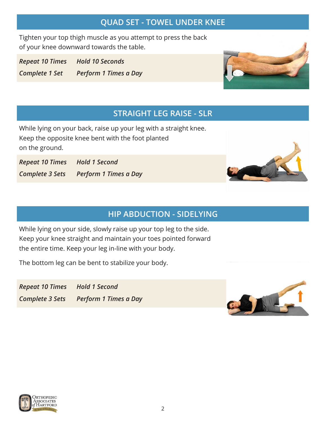#### **QUAD SET - TOWEL UNDER KNEE**

Tighten your top thigh muscle as you attempt to press the back of your knee downward towards the table.

*Repeat 10 Times Hold 10 Seconds Complete 1 Set Perform 1 Times a Day*



### **STRAIGHT LEG RAISE - SLR**

While lying on your back, raise up your leg with a straight knee. Keep the opposite knee bent with the foot planted on the ground.

*Repeat 10 Times Hold 1 Second Complete 3 Sets Perform 1 Times a Day*

## **HIP ABDUCTION - SIDELYING**

While lying on your side, slowly raise up your top leg to the side. Keep your knee straight and maintain your toes pointed forward the entire time. Keep your leg in-line with your body.

The bottom leg can be bent to stabilize your body.

*Repeat 10 Times Hold 1 Second Complete 3 Sets Perform 1 Times a Day*